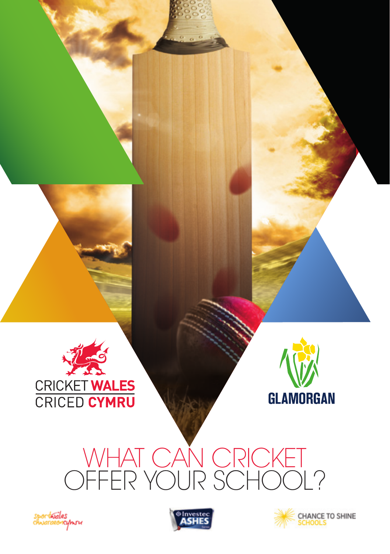



# WHAT CAN CRICKET OFFER YOUR SCHOOL?





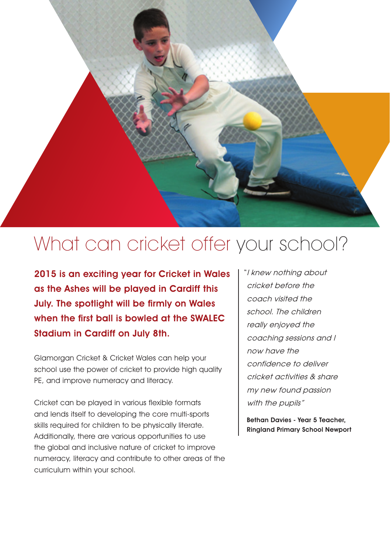

## What can cricket offer your school?

2015 is an exciting year for Cricket in Wales as the Ashes will be played in Cardiff this July. The spotlight will be firmly on Wales when the first ball is bowled at the SWALEC Stadium in Cardiff on July 8th.

Glamorgan Cricket & Cricket Wales can help your school use the power of cricket to provide high quality PE, and improve numeracy and literacy.

Cricket can be played in various flexible formats and lends itself to developing the core multi-sports skills required for children to be physically literate. Additionally, there are various opportunities to use the global and inclusive nature of cricket to improve numeracy, literacy and contribute to other areas of the curriculum within your school.

"I knew nothing about cricket before the coach visited the school. The children really enjoyed the coaching sessions and I now have the confidence to deliver cricket activities & share my new found passion with the pupils"

Bethan Davies - Year 5 Teacher, Ringland Primary School Newport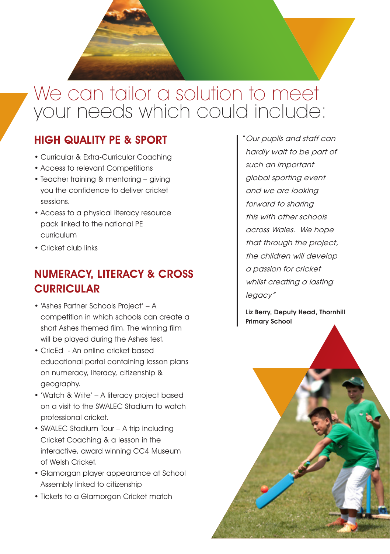

#### HIGH QUALITY PE & SPORT

- Curricular & Extra-Curricular Coaching
- Access to relevant Competitions
- Teacher training & mentoring giving you the confidence to deliver cricket sessions.
- Access to a physical literacy resource pack linked to the national PE curriculum
- Cricket club links

#### NUMERACY, LITERACY & CROSS **CURRICULAR**

- 'Ashes Partner Schools Project' A competition in which schools can create a short Ashes themed film. The winning film will be played during the Ashes test.
- CricEd An online cricket based educational portal containing lesson plans on numeracy, literacy, citizenship & geography.
- 'Watch & Write' A literacy project based on a visit to the SWALEC Stadium to watch professional cricket.
- SWALEC Stadium Tour A trip including Cricket Coaching & a lesson in the interactive, award winning CC4 Museum of Welsh Cricket.
- Glamorgan player appearance at School Assembly linked to citizenship
- Tickets to a Glamorgan Cricket match

"Our pupils and staff can hardly wait to be part of such an important global sporting event and we are looking forward to sharing this with other schools across Wales. We hope that through the project, the children will develop a passion for cricket whilst creating a lasting legacy"

Liz Berry, Deputy Head, Thornhill Primary School